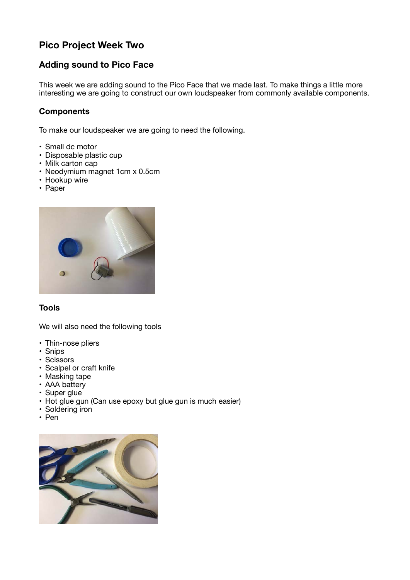# **Pico Project Week Two**

# **Adding sound to Pico Face**

This week we are adding sound to the Pico Face that we made last. To make things a little more interesting we are going to construct our own loudspeaker from commonly available components.

# **Components**

To make our loudspeaker we are going to need the following.

- Small dc motor
- Disposable plastic cup
- Milk carton cap
- Neodymium magnet 1cm x 0.5cm
- Hookup wire
- Paper



## **Tools**

We will also need the following tools

- Thin-nose pliers
- Snips
- Scissors
- Scalpel or craft knife
- Masking tape
- AAA battery
- Super glue
- Hot glue gun (Can use epoxy but glue gun is much easier)
- Soldering iron
- Pen

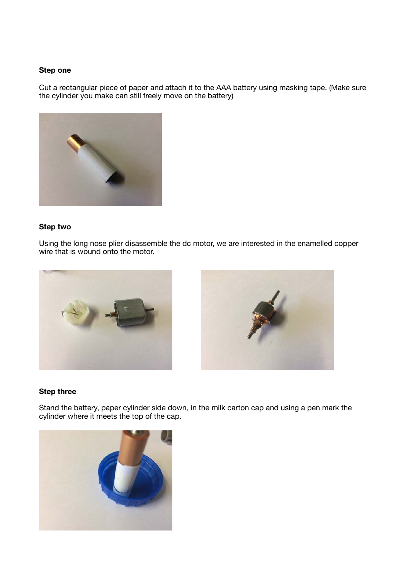### **Step one**

Cut a rectangular piece of paper and attach it to the AAA battery using masking tape. (Make sure the cylinder you make can still freely move on the battery)



# **Step two**

Using the long nose plier disassemble the dc motor, we are interested in the enamelled copper wire that is wound onto the motor.





## **Step three**

Stand the battery, paper cylinder side down, in the milk carton cap and using a pen mark the cylinder where it meets the top of the cap.

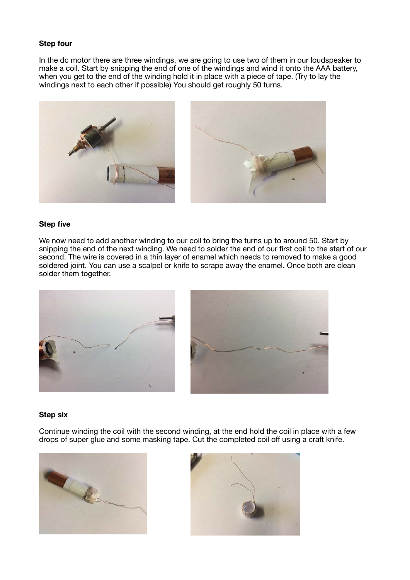### **Step four**

In the dc motor there are three windings, we are going to use two of them in our loudspeaker to make a coil. Start by snipping the end of one of the windings and wind it onto the AAA battery, when you get to the end of the winding hold it in place with a piece of tape. (Try to lay the windings next to each other if possible) You should get roughly 50 turns.



#### **Step five**

We now need to add another winding to our coil to bring the turns up to around 50. Start by snipping the end of the next winding. We need to solder the end of our first coil to the start of our second. The wire is covered in a thin layer of enamel which needs to removed to make a good soldered joint. You can use a scalpel or knife to scrape away the enamel. Once both are clean solder them together.



#### **Step six**

Continue winding the coil with the second winding, at the end hold the coil in place with a few drops of super glue and some masking tape. Cut the completed coil off using a craft knife.



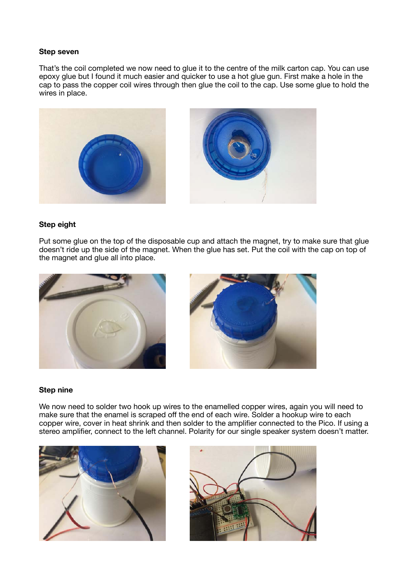#### **Step seven**

That's the coil completed we now need to glue it to the centre of the milk carton cap. You can use epoxy glue but I found it much easier and quicker to use a hot glue gun. First make a hole in the cap to pass the copper coil wires through then glue the coil to the cap. Use some glue to hold the wires in place.



#### **Step eight**

Put some glue on the top of the disposable cup and attach the magnet, try to make sure that glue doesn't ride up the side of the magnet. When the glue has set. Put the coil with the cap on top of the magnet and glue all into place.





#### **Step nine**

We now need to solder two hook up wires to the enamelled copper wires, again you will need to make sure that the enamel is scraped off the end of each wire. Solder a hookup wire to each copper wire, cover in heat shrink and then solder to the amplifier connected to the Pico. If using a stereo amplifier, connect to the left channel. Polarity for our single speaker system doesn't matter.



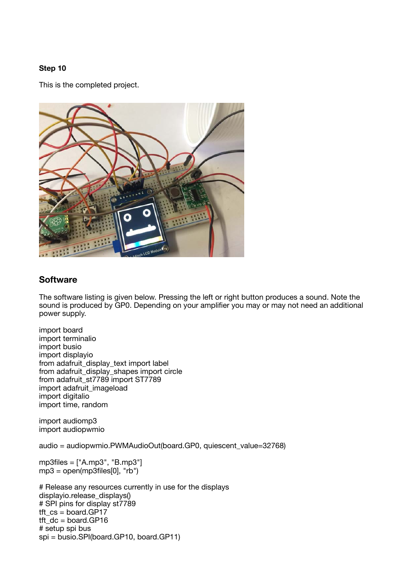## **Step 10**

This is the completed project.



# **Software**

The software listing is given below. Pressing the left or right button produces a sound. Note the sound is produced by GP0. Depending on your amplifier you may or may not need an additional power supply.

import board import terminalio import busio import displayio from adafruit\_display\_text import label from adafruit\_display\_shapes import circle from adafruit\_st7789 import ST7789 import adafruit\_imageload import digitalio import time, random

import audiomp3 import audiopwmio

audio = audiopwmio.PWMAudioOut(board.GP0, quiescent\_value=32768)

mp3files = ["A.mp3", "B.mp3"]  $mp3 = open(mp3$ files $[0]$ , "rb")

# Release any resources currently in use for the displays displayio.release\_displays() # SPI pins for display st7789 tft $cs =$  board.GP17  $tt\_dc = board.GP16$ # setup spi bus spi = busio.SPI(board.GP10, board.GP11)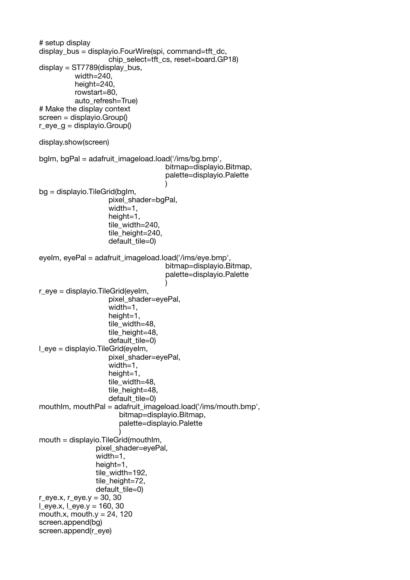```
# setup display
display bus = displayio.FourWire(spi, command=tft dc,
                   chip_select=tft_cs, reset=board.GP18)
display = ST7789(display bus,
          width=240,
          height=240,
          rowstart=80,
           auto_refresh=True)
# Make the display context
screen = displayio.Group()
r_eye_g = displayio.Group()
display.show(screen)
bglm, bgPal = adafruit_imageload.load('/ims/bg.bmp',
                                    bitmap=displayio.Bitmap,
                                    palette=displayio.Palette
 )
bg = displayio.TileGrid(bgIm,
                    pixel_shader=bgPal,
                   width=1.
                   height=1.
                    tile_width=240,
                   tile_height=240.
                   default tile=0)
eyelm, eyePal = adafruit_imageload.load('/ims/eye.bmp',
                                    bitmap=displayio.Bitmap,
                                    palette=displayio.Palette
)r eve = displayio. TileGrid(evelm,
                   pixel_shader=evePal.
                   width=1.
                   height=1.
                    tile_width=48,
                   tile_height=48,
                   default tile=0)
\blacksquare eye = displayio. TileGrid(eyeIm,
                    pixel_shader=eyePal,
                   width=1,
                   height=1.
                    tile_width=48,
                   tile_height=48.
                   default tile=0)
mouthIm, mouthPal = adafruit_imageload.load('/ims/mouth.bmp',
                       bitmap=displayio.Bitmap,
                       palette=displayio.Palette
)mouth = displayio.TileGrid(mouthIm,
                pixel_shader=eyePal,
               width=1.
                height=1,
                tile_width=192,
               tile_height=72,
               default tile=0)
r_eye.x, r_eye.y = 30, 30
Leye.x, Leye.y = 160, 30
mouth.x, mouth.y = 24, 120
screen.append(bg)
screen.append(r_eye)
```